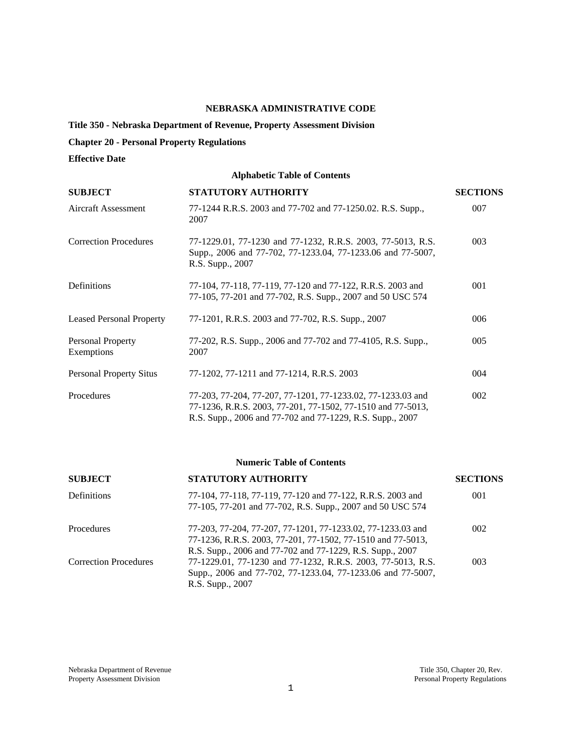## **NEBRASKA ADMINISTRATIVE CODE**

# **Title 350 - Nebraska Department of Revenue, Property Assessment Division**

## **Chapter 20 - Personal Property Regulations**

## **Effective Date**

## **Alphabetic Table of Contents**

| <b>SUBJECT</b>                  | <b>STATUTORY AUTHORITY</b>                                                                                                                                                              | <b>SECTIONS</b> |
|---------------------------------|-----------------------------------------------------------------------------------------------------------------------------------------------------------------------------------------|-----------------|
| Aircraft Assessment             | 77-1244 R.R.S. 2003 and 77-702 and 77-1250.02. R.S. Supp.,<br>2007                                                                                                                      | 007             |
| <b>Correction Procedures</b>    | 77-1229.01, 77-1230 and 77-1232, R.R.S. 2003, 77-5013, R.S.<br>Supp., 2006 and 77-702, 77-1233.04, 77-1233.06 and 77-5007,<br>R.S. Supp., 2007                                          | 003             |
| Definitions                     | 77-104, 77-118, 77-119, 77-120 and 77-122, R.R.S. 2003 and<br>77-105, 77-201 and 77-702, R.S. Supp., 2007 and 50 USC 574                                                                | 001             |
| <b>Leased Personal Property</b> | 77-1201, R.R.S. 2003 and 77-702, R.S. Supp., 2007                                                                                                                                       | 006             |
| Personal Property<br>Exemptions | 77-202, R.S. Supp., 2006 and 77-702 and 77-4105, R.S. Supp.,<br>2007                                                                                                                    | 005             |
| <b>Personal Property Situs</b>  | 77-1202, 77-1211 and 77-1214, R.R.S. 2003                                                                                                                                               | 004             |
| Procedures                      | 77-203, 77-204, 77-207, 77-1201, 77-1233.02, 77-1233.03 and<br>77-1236, R.R.S. 2003, 77-201, 77-1502, 77-1510 and 77-5013,<br>R.S. Supp., 2006 and 77-702 and 77-1229, R.S. Supp., 2007 | 002             |

## **Numeric Table of Contents**

| <b>SUBJECT</b>               | <b>STATUTORY AUTHORITY</b>                                                                                                                                                              | <b>SECTIONS</b> |
|------------------------------|-----------------------------------------------------------------------------------------------------------------------------------------------------------------------------------------|-----------------|
| Definitions                  | 77-104, 77-118, 77-119, 77-120 and 77-122, R.R.S. 2003 and<br>77-105, 77-201 and 77-702, R.S. Supp., 2007 and 50 USC 574                                                                | 001             |
| Procedures                   | 77-203, 77-204, 77-207, 77-1201, 77-1233.02, 77-1233.03 and<br>77-1236, R.R.S. 2003, 77-201, 77-1502, 77-1510 and 77-5013,<br>R.S. Supp., 2006 and 77-702 and 77-1229, R.S. Supp., 2007 | 002             |
| <b>Correction Procedures</b> | 77-1229.01, 77-1230 and 77-1232, R.R.S. 2003, 77-5013, R.S.<br>Supp., 2006 and 77-702, 77-1233.04, 77-1233.06 and 77-5007,<br>R.S. Supp., 2007                                          | 003             |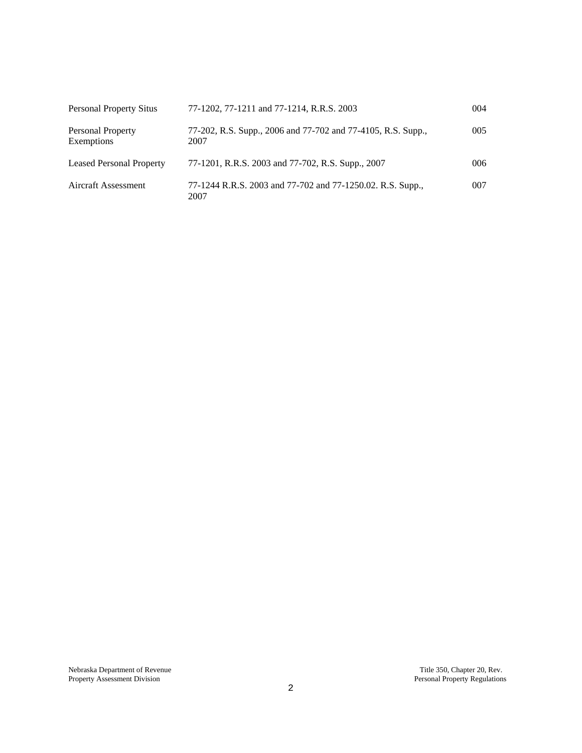| <b>Personal Property Situs</b>         | 77-1202, 77-1211 and 77-1214, R.R.S. 2003                            | 004 |
|----------------------------------------|----------------------------------------------------------------------|-----|
| <b>Personal Property</b><br>Exemptions | 77-202, R.S. Supp., 2006 and 77-702 and 77-4105, R.S. Supp.,<br>2007 | 005 |
| <b>Leased Personal Property</b>        | 77-1201, R.R.S. 2003 and 77-702, R.S. Supp., 2007                    | 006 |
| <b>Aircraft Assessment</b>             | 77-1244 R.R.S. 2003 and 77-702 and 77-1250.02. R.S. Supp.,<br>2007   | 007 |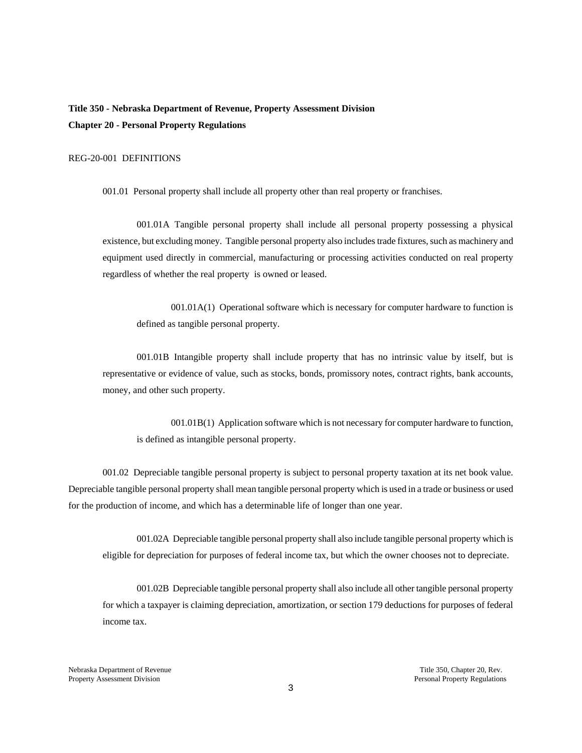**Title 350 - Nebraska Department of Revenue, Property Assessment Division Chapter 20 - Personal Property Regulations** 

## REG-20-001 DEFINITIONS

001.01 Personal property shall include all property other than real property or franchises.

001.01A Tangible personal property shall include all personal property possessing a physical existence, but excluding money. Tangible personal property also includes trade fixtures, such as machinery and equipment used directly in commercial, manufacturing or processing activities conducted on real property regardless of whether the real property is owned or leased.

001.01A(1) Operational software which is necessary for computer hardware to function is defined as tangible personal property.

001.01B Intangible property shall include property that has no intrinsic value by itself, but is representative or evidence of value, such as stocks, bonds, promissory notes, contract rights, bank accounts, money, and other such property.

001.01B(1) Application software which is not necessary for computer hardware to function, is defined as intangible personal property.

001.02 Depreciable tangible personal property is subject to personal property taxation at its net book value. Depreciable tangible personal property shall mean tangible personal property which is used in a trade or business or used for the production of income, and which has a determinable life of longer than one year.

001.02A Depreciable tangible personal property shall also include tangible personal property which is eligible for depreciation for purposes of federal income tax, but which the owner chooses not to depreciate.

001.02B Depreciable tangible personal property shall also include all other tangible personal property for which a taxpayer is claiming depreciation, amortization, or section 179 deductions for purposes of federal income tax.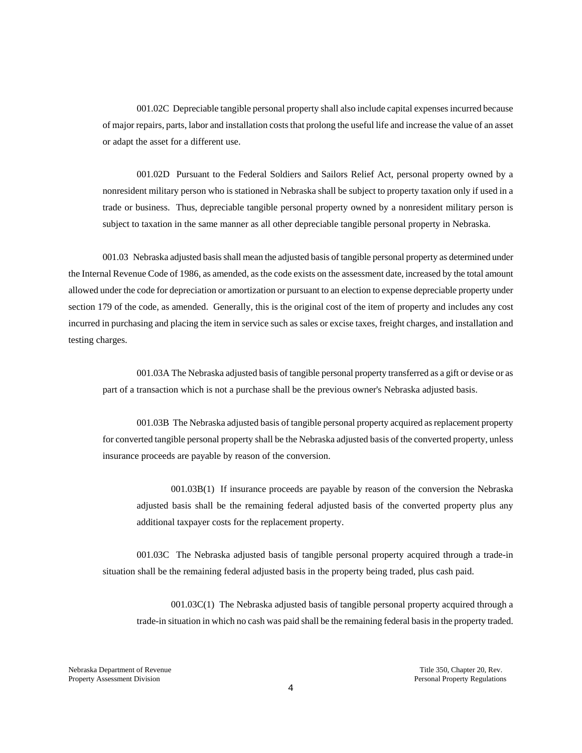001.02C Depreciable tangible personal property shall also include capital expenses incurred because of major repairs, parts, labor and installation costs that prolong the useful life and increase the value of an asset or adapt the asset for a different use.

001.02D Pursuant to the Federal Soldiers and Sailors Relief Act, personal property owned by a nonresident military person who is stationed in Nebraska shall be subject to property taxation only if used in a trade or business. Thus, depreciable tangible personal property owned by a nonresident military person is subject to taxation in the same manner as all other depreciable tangible personal property in Nebraska.

001.03 Nebraska adjusted basis shall mean the adjusted basis of tangible personal property as determined under the Internal Revenue Code of 1986, as amended, as the code exists on the assessment date, increased by the total amount allowed under the code for depreciation or amortization or pursuant to an election to expense depreciable property under section 179 of the code, as amended. Generally, this is the original cost of the item of property and includes any cost incurred in purchasing and placing the item in service such as sales or excise taxes, freight charges, and installation and testing charges.

001.03A The Nebraska adjusted basis of tangible personal property transferred as a gift or devise or as part of a transaction which is not a purchase shall be the previous owner's Nebraska adjusted basis.

001.03B The Nebraska adjusted basis of tangible personal property acquired as replacement property for converted tangible personal property shall be the Nebraska adjusted basis of the converted property, unless insurance proceeds are payable by reason of the conversion.

001.03B(1) If insurance proceeds are payable by reason of the conversion the Nebraska adjusted basis shall be the remaining federal adjusted basis of the converted property plus any additional taxpayer costs for the replacement property.

001.03C The Nebraska adjusted basis of tangible personal property acquired through a trade-in situation shall be the remaining federal adjusted basis in the property being traded, plus cash paid.

001.03C(1) The Nebraska adjusted basis of tangible personal property acquired through a trade-in situation in which no cash was paid shall be the remaining federal basis in the property traded.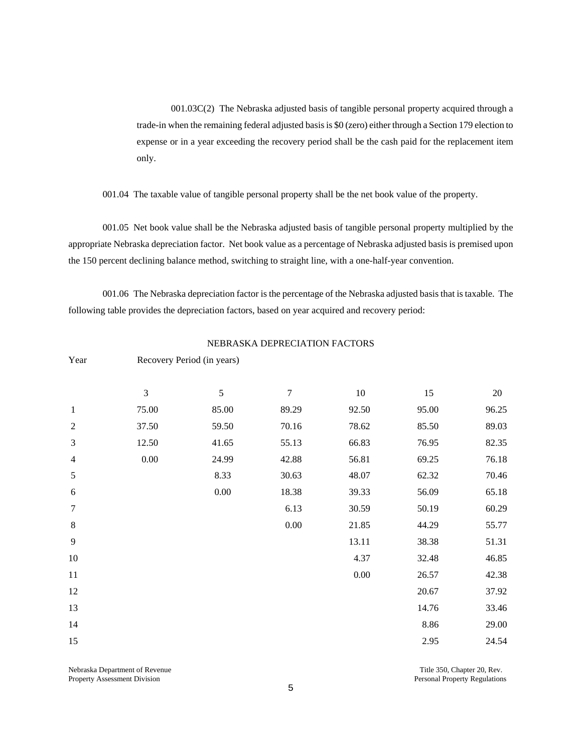001.03C(2) The Nebraska adjusted basis of tangible personal property acquired through a trade-in when the remaining federal adjusted basis is \$0 (zero) either through a Section 179 election to expense or in a year exceeding the recovery period shall be the cash paid for the replacement item only.

001.04 The taxable value of tangible personal property shall be the net book value of the property.

001.05 Net book value shall be the Nebraska adjusted basis of tangible personal property multiplied by the appropriate Nebraska depreciation factor. Net book value as a percentage of Nebraska adjusted basis is premised upon the 150 percent declining balance method, switching to straight line, with a one-half-year convention.

001.06 The Nebraska depreciation factor is the percentage of the Nebraska adjusted basis that is taxable. The following table provides the depreciation factors, based on year acquired and recovery period:

|                |                | - - · -- <i>j</i><br>- --- <i>-</i> - (--- <i>) - -- - )</i> |                  |          |       |        |  |
|----------------|----------------|--------------------------------------------------------------|------------------|----------|-------|--------|--|
|                | $\mathfrak{Z}$ | 5                                                            | $\boldsymbol{7}$ | $10\,$   | 15    | $20\,$ |  |
| $\mathbf{1}$   | 75.00          | 85.00                                                        | 89.29            | 92.50    | 95.00 | 96.25  |  |
| $\overline{2}$ | 37.50          | 59.50                                                        | 70.16            | 78.62    | 85.50 | 89.03  |  |
| 3              | 12.50          | 41.65                                                        | 55.13            | 66.83    | 76.95 | 82.35  |  |
| $\overline{4}$ | $0.00\,$       | 24.99                                                        | 42.88            | 56.81    | 69.25 | 76.18  |  |
| 5              |                | 8.33                                                         | 30.63            | 48.07    | 62.32 | 70.46  |  |
| $\sqrt{6}$     |                | $0.00\,$                                                     | 18.38            | 39.33    | 56.09 | 65.18  |  |
| $\tau$         |                |                                                              | 6.13             | 30.59    | 50.19 | 60.29  |  |
| $\,8\,$        |                |                                                              | $0.00\,$         | 21.85    | 44.29 | 55.77  |  |
| $\overline{9}$ |                |                                                              |                  | 13.11    | 38.38 | 51.31  |  |
| $10\,$         |                |                                                              |                  | 4.37     | 32.48 | 46.85  |  |
| $11\,$         |                |                                                              |                  | $0.00\,$ | 26.57 | 42.38  |  |
| 12             |                |                                                              |                  |          | 20.67 | 37.92  |  |
| 13             |                |                                                              |                  |          | 14.76 | 33.46  |  |
| 14             |                |                                                              |                  |          | 8.86  | 29.00  |  |
| 15             |                |                                                              |                  |          | 2.95  | 24.54  |  |
|                |                |                                                              |                  |          |       |        |  |

NEBRASKA DEPRECIATION FACTORS

Property Assessment Division **Personal Property Regulations** Personal Property Regulations

Year Recovery Period (in years)

Nebraska Department of Revenue Title 350, Chapter 20, Rev.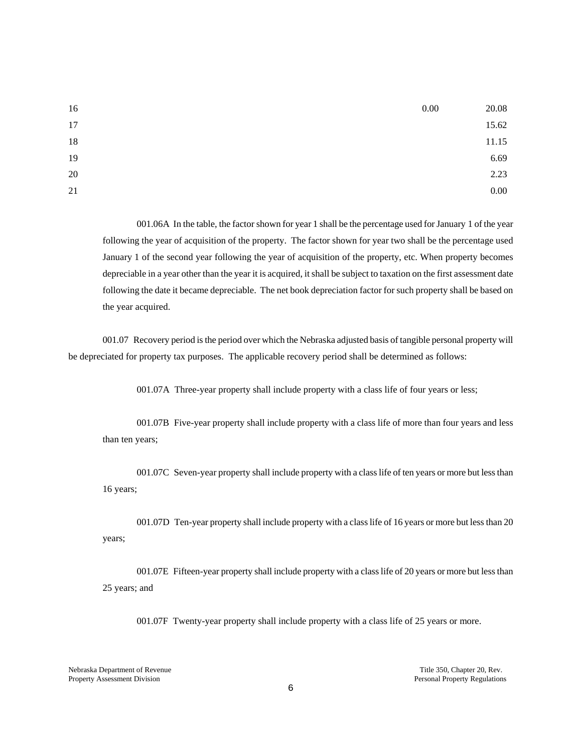| 16     | 0.00 | 20.08 |
|--------|------|-------|
| 17     |      | 15.62 |
| $18\,$ |      | 11.15 |
| 19     |      | 6.69  |
| 20     |      | 2.23  |
| 21     |      | 0.00  |

 001.06A In the table, the factor shown for year 1 shall be the percentage used for January 1 of the year following the year of acquisition of the property. The factor shown for year two shall be the percentage used January 1 of the second year following the year of acquisition of the property, etc. When property becomes depreciable in a year other than the year it is acquired, it shall be subject to taxation on the first assessment date following the date it became depreciable. The net book depreciation factor for such property shall be based on the year acquired.

 001.07 Recovery period is the period over which the Nebraska adjusted basis of tangible personal property will be depreciated for property tax purposes. The applicable recovery period shall be determined as follows:

001.07A Three-year property shall include property with a class life of four years or less;

 001.07B Five-year property shall include property with a class life of more than four years and less than ten years;

 001.07C Seven-year property shall include property with a class life of ten years or more but less than 16 years;

 001.07D Ten-year property shall include property with a class life of 16 years or more but less than 20 years;

 001.07E Fifteen-year property shall include property with a class life of 20 years or more but less than 25 years; and

001.07F Twenty-year property shall include property with a class life of 25 years or more.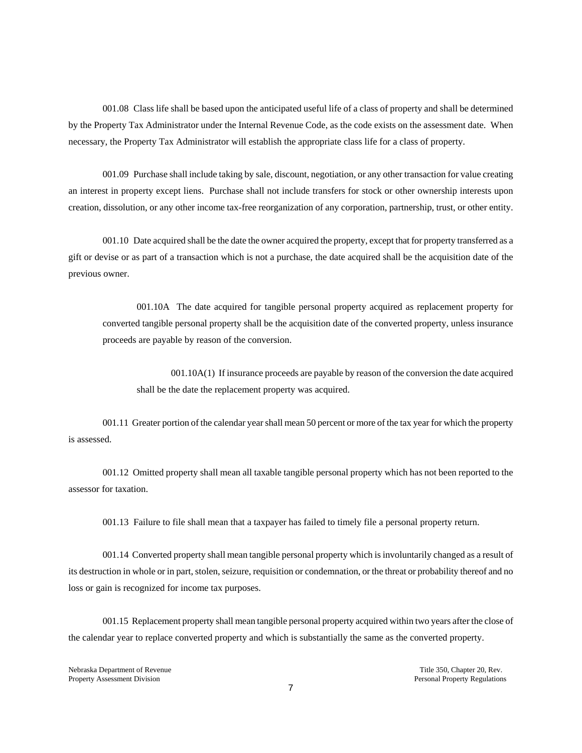001.08 Class life shall be based upon the anticipated useful life of a class of property and shall be determined by the Property Tax Administrator under the Internal Revenue Code, as the code exists on the assessment date. When necessary, the Property Tax Administrator will establish the appropriate class life for a class of property.

001.09 Purchase shall include taking by sale, discount, negotiation, or any other transaction for value creating an interest in property except liens. Purchase shall not include transfers for stock or other ownership interests upon creation, dissolution, or any other income tax-free reorganization of any corporation, partnership, trust, or other entity.

001.10 Date acquired shall be the date the owner acquired the property, except that for property transferred as a gift or devise or as part of a transaction which is not a purchase, the date acquired shall be the acquisition date of the previous owner.

001.10A The date acquired for tangible personal property acquired as replacement property for converted tangible personal property shall be the acquisition date of the converted property, unless insurance proceeds are payable by reason of the conversion.

001.10A(1) If insurance proceeds are payable by reason of the conversion the date acquired shall be the date the replacement property was acquired.

 001.11 Greater portion of the calendar year shall mean 50 percent or more of the tax year for which the property is assessed.

 001.12 Omitted property shall mean all taxable tangible personal property which has not been reported to the assessor for taxation.

001.13 Failure to file shall mean that a taxpayer has failed to timely file a personal property return.

001.14 Converted property shall mean tangible personal property which is involuntarily changed as a result of its destruction in whole or in part, stolen, seizure, requisition or condemnation, or the threat or probability thereof and no loss or gain is recognized for income tax purposes.

001.15 Replacement property shall mean tangible personal property acquired within two years after the close of the calendar year to replace converted property and which is substantially the same as the converted property.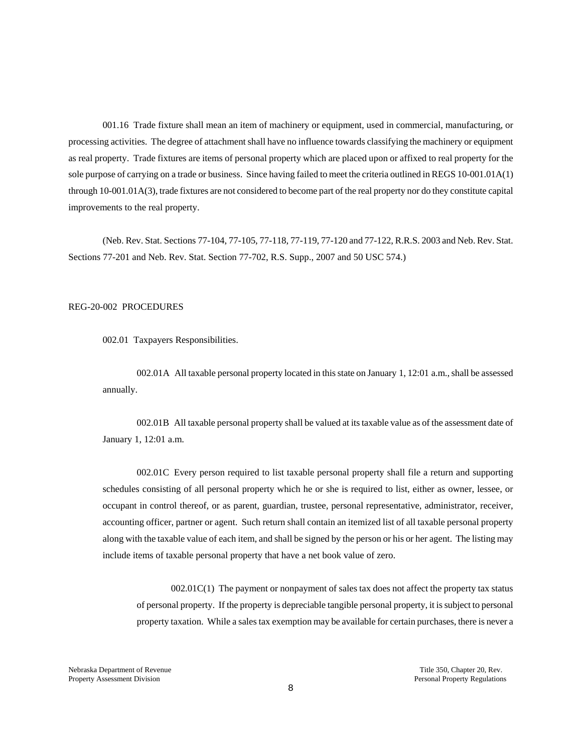001.16 Trade fixture shall mean an item of machinery or equipment, used in commercial, manufacturing, or processing activities. The degree of attachment shall have no influence towards classifying the machinery or equipment as real property. Trade fixtures are items of personal property which are placed upon or affixed to real property for the sole purpose of carrying on a trade or business. Since having failed to meet the criteria outlined in REGS 10-001.01A(1) through 10-001.01A(3), trade fixtures are not considered to become part of the real property nor do they constitute capital improvements to the real property.

(Neb. Rev. Stat. Sections 77-104, 77-105, 77-118, 77-119, 77-120 and 77-122, R.R.S. 2003 and Neb. Rev. Stat. Sections 77-201 and Neb. Rev. Stat. Section 77-702, R.S. Supp., 2007 and 50 USC 574.)

#### REG-20-002 PROCEDURES

002.01 Taxpayers Responsibilities.

002.01A All taxable personal property located in this state on January 1, 12:01 a.m., shall be assessed annually.

002.01B All taxable personal property shall be valued at its taxable value as of the assessment date of January 1, 12:01 a.m.

002.01C Every person required to list taxable personal property shall file a return and supporting schedules consisting of all personal property which he or she is required to list, either as owner, lessee, or occupant in control thereof, or as parent, guardian, trustee, personal representative, administrator, receiver, accounting officer, partner or agent. Such return shall contain an itemized list of all taxable personal property along with the taxable value of each item, and shall be signed by the person or his or her agent. The listing may include items of taxable personal property that have a net book value of zero.

002.01C(1) The payment or nonpayment of sales tax does not affect the property tax status of personal property. If the property is depreciable tangible personal property, it is subject to personal property taxation. While a sales tax exemption may be available for certain purchases, there is never a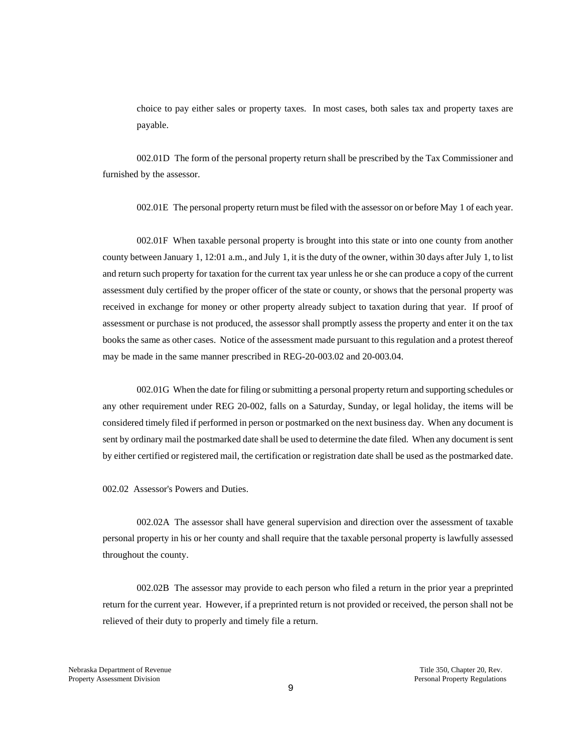choice to pay either sales or property taxes. In most cases, both sales tax and property taxes are payable.

002.01D The form of the personal property return shall be prescribed by the Tax Commissioner and furnished by the assessor.

002.01E The personal property return must be filed with the assessor on or before May 1 of each year.

002.01F When taxable personal property is brought into this state or into one county from another county between January 1, 12:01 a.m., and July 1, it is the duty of the owner, within 30 days after July 1, to list and return such property for taxation for the current tax year unless he or she can produce a copy of the current assessment duly certified by the proper officer of the state or county, or shows that the personal property was received in exchange for money or other property already subject to taxation during that year. If proof of assessment or purchase is not produced, the assessor shall promptly assess the property and enter it on the tax books the same as other cases. Notice of the assessment made pursuant to this regulation and a protest thereof may be made in the same manner prescribed in REG-20-003.02 and 20-003.04.

002.01G When the date for filing or submitting a personal property return and supporting schedules or any other requirement under REG 20-002, falls on a Saturday, Sunday, or legal holiday, the items will be considered timely filed if performed in person or postmarked on the next business day. When any document is sent by ordinary mail the postmarked date shall be used to determine the date filed. When any document is sent by either certified or registered mail, the certification or registration date shall be used as the postmarked date.

002.02 Assessor's Powers and Duties.

002.02A The assessor shall have general supervision and direction over the assessment of taxable personal property in his or her county and shall require that the taxable personal property is lawfully assessed throughout the county.

002.02B The assessor may provide to each person who filed a return in the prior year a preprinted return for the current year. However, if a preprinted return is not provided or received, the person shall not be relieved of their duty to properly and timely file a return.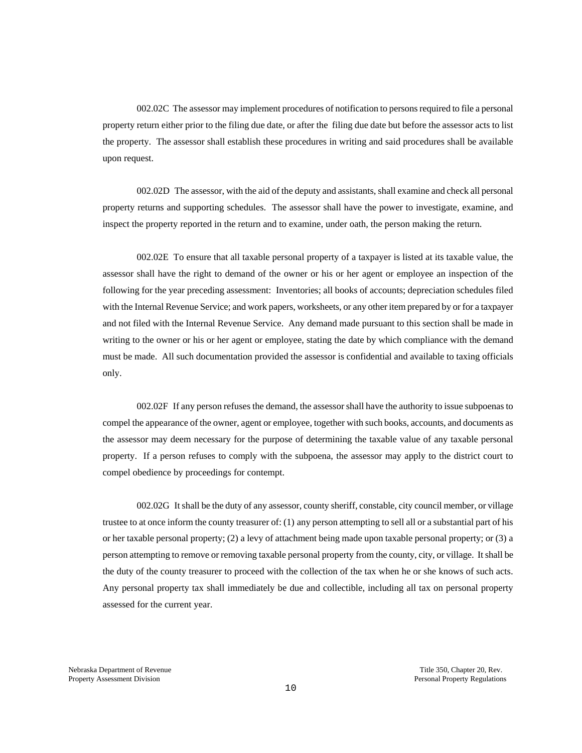002.02C The assessor may implement procedures of notification to persons required to file a personal property return either prior to the filing due date, or after the filing due date but before the assessor acts to list the property. The assessor shall establish these procedures in writing and said procedures shall be available upon request.

002.02D The assessor, with the aid of the deputy and assistants, shall examine and check all personal property returns and supporting schedules. The assessor shall have the power to investigate, examine, and inspect the property reported in the return and to examine, under oath, the person making the return.

002.02E To ensure that all taxable personal property of a taxpayer is listed at its taxable value, the assessor shall have the right to demand of the owner or his or her agent or employee an inspection of the following for the year preceding assessment: Inventories; all books of accounts; depreciation schedules filed with the Internal Revenue Service; and work papers, worksheets, or any other item prepared by or for a taxpayer and not filed with the Internal Revenue Service. Any demand made pursuant to this section shall be made in writing to the owner or his or her agent or employee, stating the date by which compliance with the demand must be made. All such documentation provided the assessor is confidential and available to taxing officials only.

002.02F If any person refuses the demand, the assessor shall have the authority to issue subpoenas to compel the appearance of the owner, agent or employee, together with such books, accounts, and documents as the assessor may deem necessary for the purpose of determining the taxable value of any taxable personal property. If a person refuses to comply with the subpoena, the assessor may apply to the district court to compel obedience by proceedings for contempt.

002.02G It shall be the duty of any assessor, county sheriff, constable, city council member, or village trustee to at once inform the county treasurer of: (1) any person attempting to sell all or a substantial part of his or her taxable personal property; (2) a levy of attachment being made upon taxable personal property; or (3) a person attempting to remove or removing taxable personal property from the county, city, or village. It shall be the duty of the county treasurer to proceed with the collection of the tax when he or she knows of such acts. Any personal property tax shall immediately be due and collectible, including all tax on personal property assessed for the current year.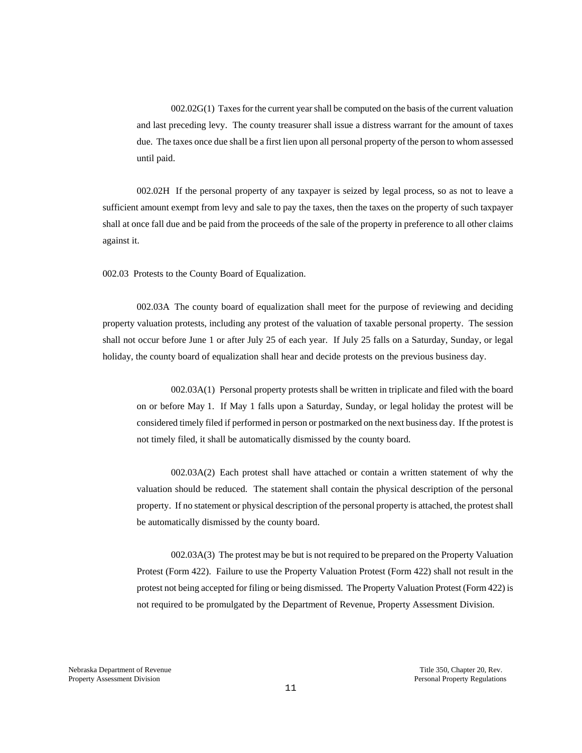002.02G(1) Taxes for the current year shall be computed on the basis of the current valuation and last preceding levy. The county treasurer shall issue a distress warrant for the amount of taxes due. The taxes once due shall be a first lien upon all personal property of the person to whom assessed until paid.

002.02H If the personal property of any taxpayer is seized by legal process, so as not to leave a sufficient amount exempt from levy and sale to pay the taxes, then the taxes on the property of such taxpayer shall at once fall due and be paid from the proceeds of the sale of the property in preference to all other claims against it.

002.03 Protests to the County Board of Equalization.

002.03A The county board of equalization shall meet for the purpose of reviewing and deciding property valuation protests, including any protest of the valuation of taxable personal property. The session shall not occur before June 1 or after July 25 of each year. If July 25 falls on a Saturday, Sunday, or legal holiday, the county board of equalization shall hear and decide protests on the previous business day.

002.03A(1) Personal property protests shall be written in triplicate and filed with the board on or before May 1. If May 1 falls upon a Saturday, Sunday, or legal holiday the protest will be considered timely filed if performed in person or postmarked on the next business day. If the protest is not timely filed, it shall be automatically dismissed by the county board.

002.03A(2) Each protest shall have attached or contain a written statement of why the valuation should be reduced. The statement shall contain the physical description of the personal property. If no statement or physical description of the personal property is attached, the protest shall be automatically dismissed by the county board.

002.03A(3) The protest may be but is not required to be prepared on the Property Valuation Protest (Form 422). Failure to use the Property Valuation Protest (Form 422) shall not result in the protest not being accepted for filing or being dismissed. The Property Valuation Protest (Form 422) is not required to be promulgated by the Department of Revenue, Property Assessment Division.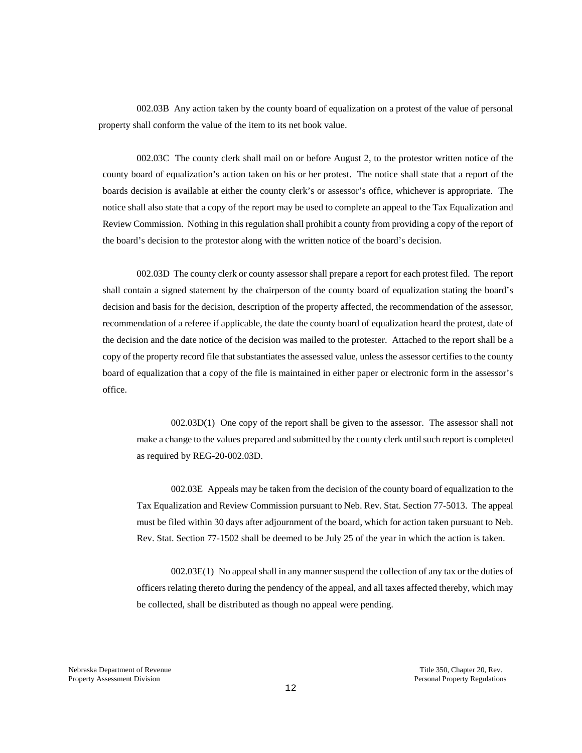002.03B Any action taken by the county board of equalization on a protest of the value of personal property shall conform the value of the item to its net book value.

002.03C The county clerk shall mail on or before August 2, to the protestor written notice of the county board of equalization's action taken on his or her protest. The notice shall state that a report of the boards decision is available at either the county clerk's or assessor's office, whichever is appropriate. The notice shall also state that a copy of the report may be used to complete an appeal to the Tax Equalization and Review Commission. Nothing in this regulation shall prohibit a county from providing a copy of the report of the board's decision to the protestor along with the written notice of the board's decision.

002.03D The county clerk or county assessor shall prepare a report for each protest filed. The report shall contain a signed statement by the chairperson of the county board of equalization stating the board's decision and basis for the decision, description of the property affected, the recommendation of the assessor, recommendation of a referee if applicable, the date the county board of equalization heard the protest, date of the decision and the date notice of the decision was mailed to the protester. Attached to the report shall be a copy of the property record file that substantiates the assessed value, unless the assessor certifies to the county board of equalization that a copy of the file is maintained in either paper or electronic form in the assessor's office.

002.03D(1) One copy of the report shall be given to the assessor. The assessor shall not make a change to the values prepared and submitted by the county clerk until such report is completed as required by REG-20-002.03D.

002.03E Appeals may be taken from the decision of the county board of equalization to the Tax Equalization and Review Commission pursuant to Neb. Rev. Stat. Section 77-5013. The appeal must be filed within 30 days after adjournment of the board, which for action taken pursuant to Neb. Rev. Stat. Section 77-1502 shall be deemed to be July 25 of the year in which the action is taken.

002.03E(1) No appeal shall in any manner suspend the collection of any tax or the duties of officers relating thereto during the pendency of the appeal, and all taxes affected thereby, which may be collected, shall be distributed as though no appeal were pending.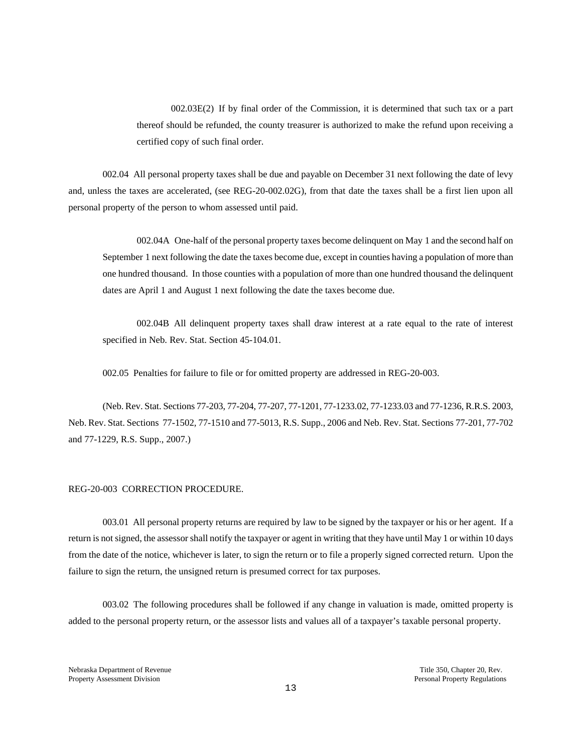002.03E(2) If by final order of the Commission, it is determined that such tax or a part thereof should be refunded, the county treasurer is authorized to make the refund upon receiving a certified copy of such final order.

002.04 All personal property taxes shall be due and payable on December 31 next following the date of levy and, unless the taxes are accelerated, (see REG-20-002.02G), from that date the taxes shall be a first lien upon all personal property of the person to whom assessed until paid.

002.04A One-half of the personal property taxes become delinquent on May 1 and the second half on September 1 next following the date the taxes become due, except in counties having a population of more than one hundred thousand. In those counties with a population of more than one hundred thousand the delinquent dates are April 1 and August 1 next following the date the taxes become due.

002.04B All delinquent property taxes shall draw interest at a rate equal to the rate of interest specified in Neb. Rev. Stat. Section 45-104.01.

002.05 Penalties for failure to file or for omitted property are addressed in REG-20-003.

(Neb. Rev. Stat. Sections 77-203, 77-204, 77-207, 77-1201, 77-1233.02, 77-1233.03 and 77-1236, R.R.S. 2003, Neb. Rev. Stat. Sections 77-1502*,* 77-1510 and 77-5013, R.S. Supp., 2006 and Neb. Rev. Stat. Sections 77-201, 77-702 and 77-1229, R.S. Supp., 2007.)

### REG-20-003 CORRECTION PROCEDURE.

003.01 All personal property returns are required by law to be signed by the taxpayer or his or her agent. If a return is not signed, the assessor shall notify the taxpayer or agent in writing that they have until May 1 or within 10 days from the date of the notice, whichever is later, to sign the return or to file a properly signed corrected return. Upon the failure to sign the return, the unsigned return is presumed correct for tax purposes.

003.02 The following procedures shall be followed if any change in valuation is made, omitted property is added to the personal property return, or the assessor lists and values all of a taxpayer's taxable personal property.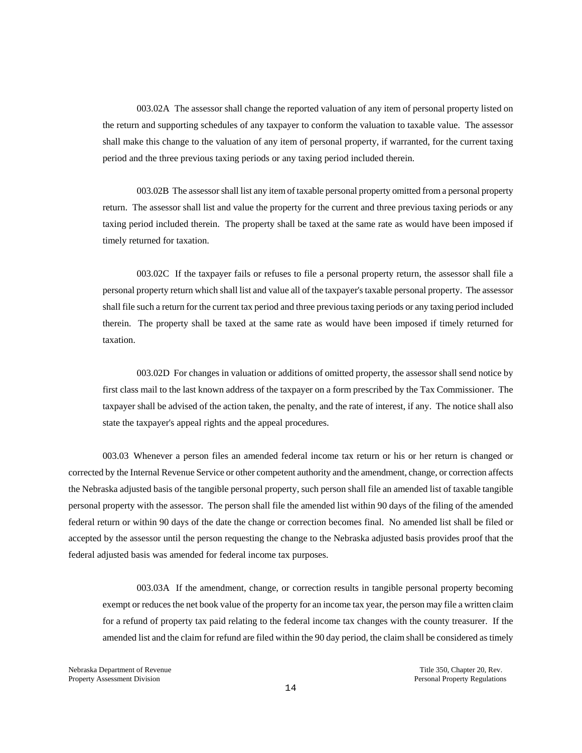003.02A The assessor shall change the reported valuation of any item of personal property listed on the return and supporting schedules of any taxpayer to conform the valuation to taxable value. The assessor shall make this change to the valuation of any item of personal property, if warranted, for the current taxing period and the three previous taxing periods or any taxing period included therein.

003.02B The assessor shall list any item of taxable personal property omitted from a personal property return. The assessor shall list and value the property for the current and three previous taxing periods or any taxing period included therein. The property shall be taxed at the same rate as would have been imposed if timely returned for taxation.

003.02C If the taxpayer fails or refuses to file a personal property return, the assessor shall file a personal property return which shall list and value all of the taxpayer's taxable personal property. The assessor shall file such a return for the current tax period and three previous taxing periods or any taxing period included therein. The property shall be taxed at the same rate as would have been imposed if timely returned for taxation.

003.02D For changes in valuation or additions of omitted property, the assessor shall send notice by first class mail to the last known address of the taxpayer on a form prescribed by the Tax Commissioner. The taxpayer shall be advised of the action taken, the penalty, and the rate of interest, if any. The notice shall also state the taxpayer's appeal rights and the appeal procedures.

003.03 Whenever a person files an amended federal income tax return or his or her return is changed or corrected by the Internal Revenue Service or other competent authority and the amendment, change, or correction affects the Nebraska adjusted basis of the tangible personal property, such person shall file an amended list of taxable tangible personal property with the assessor. The person shall file the amended list within 90 days of the filing of the amended federal return or within 90 days of the date the change or correction becomes final. No amended list shall be filed or accepted by the assessor until the person requesting the change to the Nebraska adjusted basis provides proof that the federal adjusted basis was amended for federal income tax purposes.

003.03A If the amendment, change, or correction results in tangible personal property becoming exempt or reduces the net book value of the property for an income tax year, the person may file a written claim for a refund of property tax paid relating to the federal income tax changes with the county treasurer. If the amended list and the claim for refund are filed within the 90 day period, the claim shall be considered as timely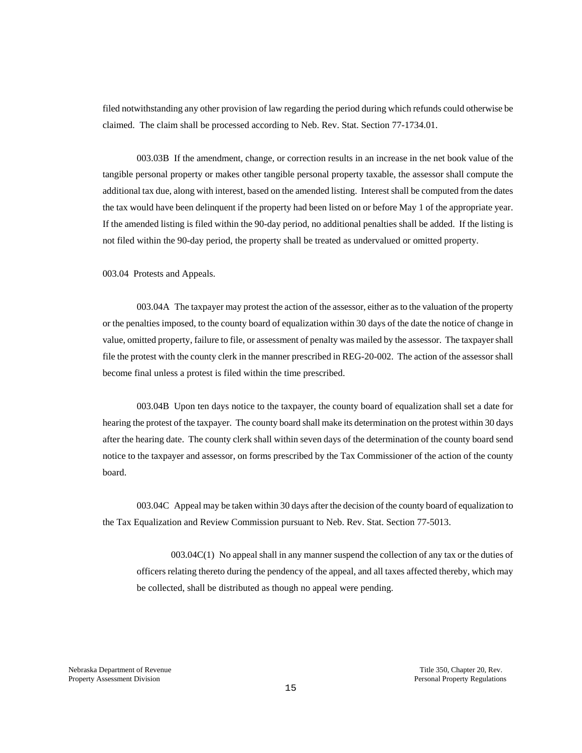filed notwithstanding any other provision of law regarding the period during which refunds could otherwise be claimed. The claim shall be processed according to Neb. Rev. Stat. Section 77-1734.01.

003.03B If the amendment, change, or correction results in an increase in the net book value of the tangible personal property or makes other tangible personal property taxable, the assessor shall compute the additional tax due, along with interest, based on the amended listing. Interest shall be computed from the dates the tax would have been delinquent if the property had been listed on or before May 1 of the appropriate year. If the amended listing is filed within the 90-day period, no additional penalties shall be added. If the listing is not filed within the 90-day period, the property shall be treated as undervalued or omitted property.

003.04 Protests and Appeals.

003.04A The taxpayer may protest the action of the assessor, either as to the valuation of the property or the penalties imposed, to the county board of equalization within 30 days of the date the notice of change in value, omitted property, failure to file, or assessment of penalty was mailed by the assessor. The taxpayer shall file the protest with the county clerk in the manner prescribed in REG-20-002. The action of the assessor shall become final unless a protest is filed within the time prescribed.

003.04B Upon ten days notice to the taxpayer, the county board of equalization shall set a date for hearing the protest of the taxpayer. The county board shall make its determination on the protest within 30 days after the hearing date. The county clerk shall within seven days of the determination of the county board send notice to the taxpayer and assessor, on forms prescribed by the Tax Commissioner of the action of the county board.

003.04C Appeal may be taken within 30 days after the decision of the county board of equalization to the Tax Equalization and Review Commission pursuant to Neb. Rev. Stat. Section 77-5013.

003.04C(1) No appeal shall in any manner suspend the collection of any tax or the duties of officers relating thereto during the pendency of the appeal, and all taxes affected thereby, which may be collected, shall be distributed as though no appeal were pending.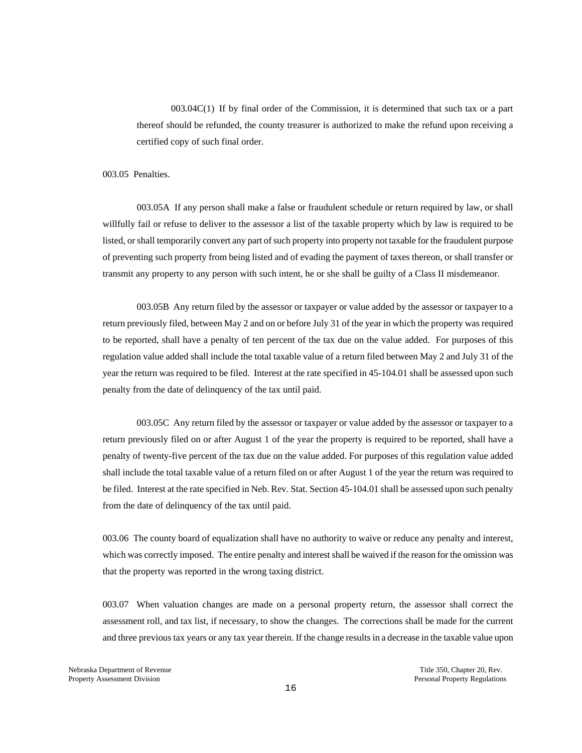003.04C(1) If by final order of the Commission, it is determined that such tax or a part thereof should be refunded, the county treasurer is authorized to make the refund upon receiving a certified copy of such final order.

### 003.05 Penalties.

003.05A If any person shall make a false or fraudulent schedule or return required by law, or shall willfully fail or refuse to deliver to the assessor a list of the taxable property which by law is required to be listed, or shall temporarily convert any part of such property into property not taxable for the fraudulent purpose of preventing such property from being listed and of evading the payment of taxes thereon, or shall transfer or transmit any property to any person with such intent, he or she shall be guilty of a Class II misdemeanor.

003.05B Any return filed by the assessor or taxpayer or value added by the assessor or taxpayer to a return previously filed, between May 2 and on or before July 31 of the year in which the property was required to be reported, shall have a penalty of ten percent of the tax due on the value added. For purposes of this regulation value added shall include the total taxable value of a return filed between May 2 and July 31 of the year the return was required to be filed. Interest at the rate specified in 45-104.01 shall be assessed upon such penalty from the date of delinquency of the tax until paid.

003.05C Any return filed by the assessor or taxpayer or value added by the assessor or taxpayer to a return previously filed on or after August 1 of the year the property is required to be reported, shall have a penalty of twenty-five percent of the tax due on the value added. For purposes of this regulation value added shall include the total taxable value of a return filed on or after August 1 of the year the return was required to be filed. Interest at the rate specified in Neb. Rev. Stat. Section 45-104.01 shall be assessed upon such penalty from the date of delinquency of the tax until paid.

003.06 The county board of equalization shall have no authority to waive or reduce any penalty and interest, which was correctly imposed. The entire penalty and interest shall be waived if the reason for the omission was that the property was reported in the wrong taxing district.

003.07 When valuation changes are made on a personal property return, the assessor shall correct the assessment roll, and tax list, if necessary, to show the changes. The corrections shall be made for the current and three previous tax years or any tax year therein. If the change results in a decrease in the taxable value upon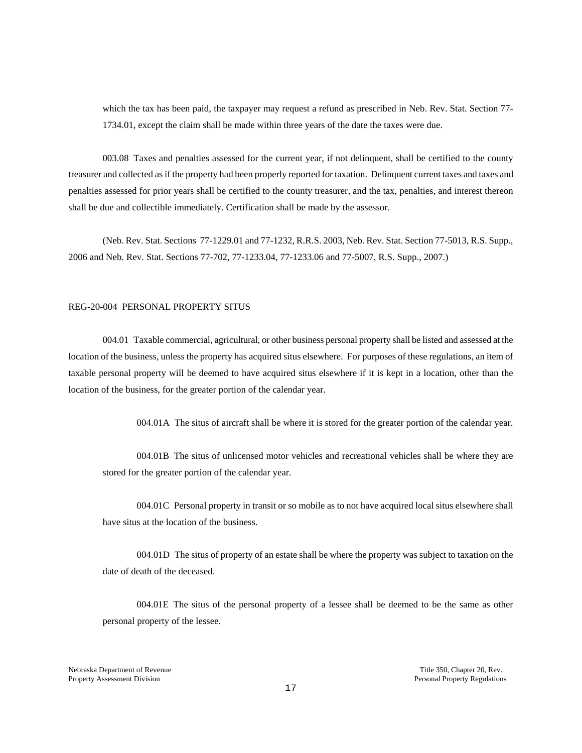which the tax has been paid, the taxpayer may request a refund as prescribed in Neb. Rev. Stat. Section 77-1734.01, except the claim shall be made within three years of the date the taxes were due.

003.08 Taxes and penalties assessed for the current year, if not delinquent, shall be certified to the county treasurer and collected as if the property had been properly reported for taxation. Delinquent current taxes and taxes and penalties assessed for prior years shall be certified to the county treasurer, and the tax, penalties, and interest thereon shall be due and collectible immediately. Certification shall be made by the assessor.

(Neb. Rev. Stat. Sections 77-1229.01 and 77-1232, R.R.S. 2003, Neb. Rev. Stat. Section 77-5013, R.S. Supp., 2006 and Neb. Rev. Stat. Sections 77-702, 77-1233.04, 77-1233.06 and 77-5007, R.S. Supp., 2007.)

#### REG-20-004 PERSONAL PROPERTY SITUS

004.01 Taxable commercial, agricultural, or other business personal property shall be listed and assessed at the location of the business, unless the property has acquired situs elsewhere. For purposes of these regulations, an item of taxable personal property will be deemed to have acquired situs elsewhere if it is kept in a location, other than the location of the business, for the greater portion of the calendar year.

004.01A The situs of aircraft shall be where it is stored for the greater portion of the calendar year.

004.01B The situs of unlicensed motor vehicles and recreational vehicles shall be where they are stored for the greater portion of the calendar year.

004.01C Personal property in transit or so mobile as to not have acquired local situs elsewhere shall have situs at the location of the business.

004.01D The situs of property of an estate shall be where the property was subject to taxation on the date of death of the deceased.

004.01E The situs of the personal property of a lessee shall be deemed to be the same as other personal property of the lessee.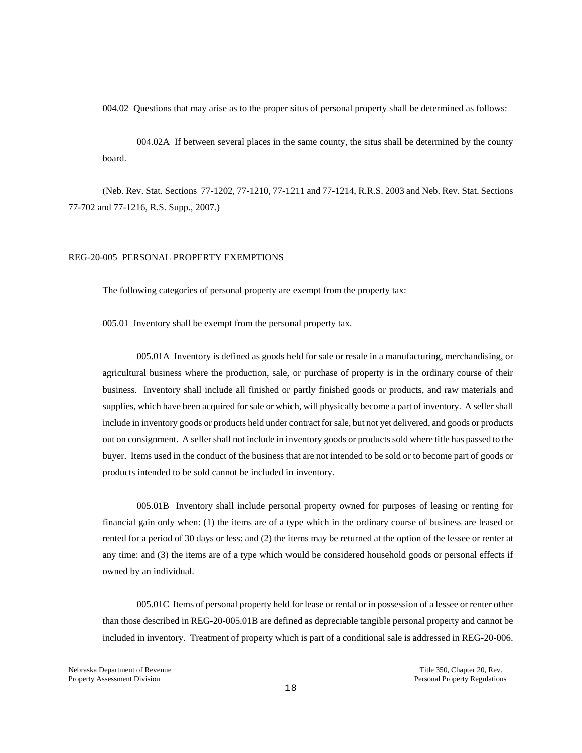004.02 Questions that may arise as to the proper situs of personal property shall be determined as follows:

004.02A If between several places in the same county, the situs shall be determined by the county board.

(Neb. Rev. Stat. Sections 77-1202, 77-1210, 77-1211 and 77-1214, R.R.S. 2003 and Neb. Rev. Stat. Sections 77-702 and 77-1216, R.S. Supp., 2007.)

## REG-20-005 PERSONAL PROPERTY EXEMPTIONS

The following categories of personal property are exempt from the property tax:

005.01 Inventory shall be exempt from the personal property tax.

005.01A Inventory is defined as goods held for sale or resale in a manufacturing, merchandising, or agricultural business where the production, sale, or purchase of property is in the ordinary course of their business. Inventory shall include all finished or partly finished goods or products, and raw materials and supplies, which have been acquired for sale or which, will physically become a part of inventory. A seller shall include in inventory goods or products held under contract for sale, but not yet delivered, and goods or products out on consignment. A seller shall not include in inventory goods or products sold where title has passed to the buyer. Items used in the conduct of the business that are not intended to be sold or to become part of goods or products intended to be sold cannot be included in inventory.

005.01B Inventory shall include personal property owned for purposes of leasing or renting for financial gain only when: (1) the items are of a type which in the ordinary course of business are leased or rented for a period of 30 days or less: and (2) the items may be returned at the option of the lessee or renter at any time: and (3) the items are of a type which would be considered household goods or personal effects if owned by an individual.

005.01C Items of personal property held for lease or rental or in possession of a lessee or renter other than those described in REG-20-005.01B are defined as depreciable tangible personal property and cannot be included in inventory. Treatment of property which is part of a conditional sale is addressed in REG-20-006.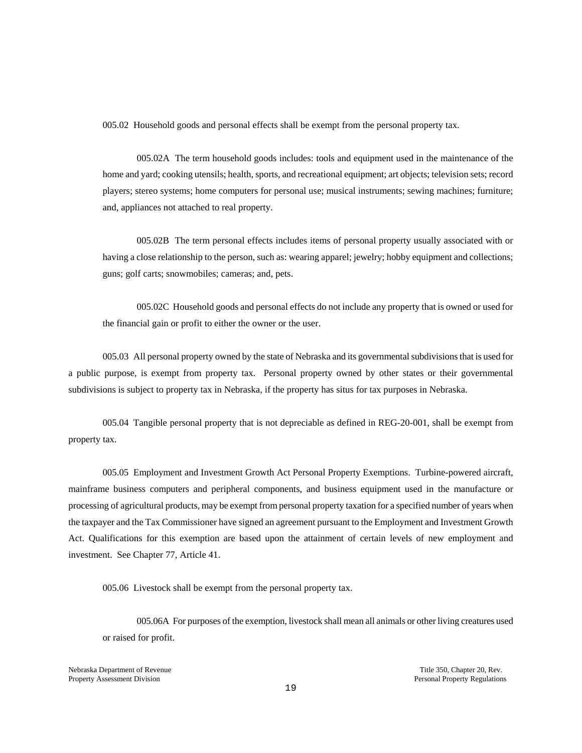005.02 Household goods and personal effects shall be exempt from the personal property tax.

005.02A The term household goods includes: tools and equipment used in the maintenance of the home and yard; cooking utensils; health, sports, and recreational equipment; art objects; television sets; record players; stereo systems; home computers for personal use; musical instruments; sewing machines; furniture; and, appliances not attached to real property.

 005.02B The term personal effects includes items of personal property usually associated with or having a close relationship to the person, such as: wearing apparel; jewelry; hobby equipment and collections; guns; golf carts; snowmobiles; cameras; and, pets.

005.02C Household goods and personal effects do not include any property that is owned or used for the financial gain or profit to either the owner or the user.

005.03 All personal property owned by the state of Nebraska and its governmental subdivisions that is used for a public purpose, is exempt from property tax. Personal property owned by other states or their governmental subdivisions is subject to property tax in Nebraska, if the property has situs for tax purposes in Nebraska.

005.04 Tangible personal property that is not depreciable as defined in REG-20-001, shall be exempt from property tax.

005.05 Employment and Investment Growth Act Personal Property Exemptions. Turbine-powered aircraft, mainframe business computers and peripheral components, and business equipment used in the manufacture or processing of agricultural products, may be exempt from personal property taxation for a specified number of years when the taxpayer and the Tax Commissioner have signed an agreement pursuant to the Employment and Investment Growth Act. Qualifications for this exemption are based upon the attainment of certain levels of new employment and investment. See Chapter 77, Article 41.

005.06 Livestock shall be exempt from the personal property tax.

005.06A For purposes of the exemption, livestock shall mean all animals or other living creatures used or raised for profit.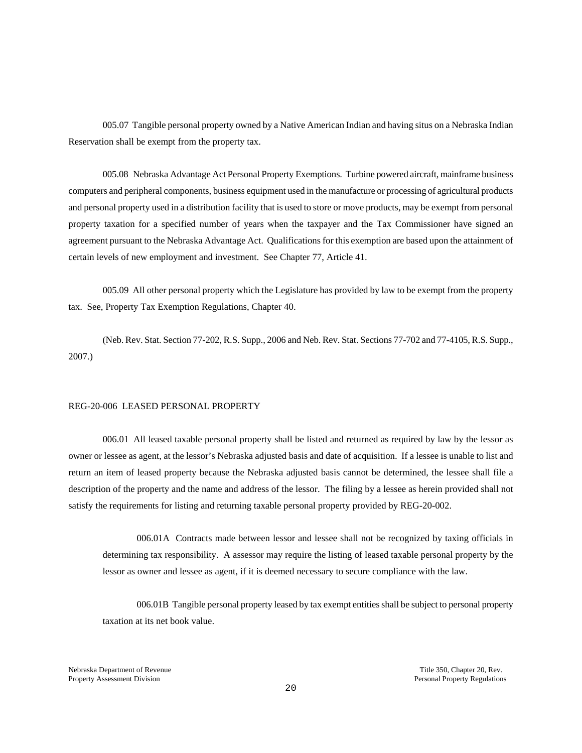005.07 Tangible personal property owned by a Native American Indian and having situs on a Nebraska Indian Reservation shall be exempt from the property tax.

005.08 Nebraska Advantage Act Personal Property Exemptions. Turbine powered aircraft, mainframe business computers and peripheral components, business equipment used in the manufacture or processing of agricultural products and personal property used in a distribution facility that is used to store or move products, may be exempt from personal property taxation for a specified number of years when the taxpayer and the Tax Commissioner have signed an agreement pursuant to the Nebraska Advantage Act. Qualifications for this exemption are based upon the attainment of certain levels of new employment and investment. See Chapter 77, Article 41.

005.09 All other personal property which the Legislature has provided by law to be exempt from the property tax. See, Property Tax Exemption Regulations, Chapter 40.

(Neb. Rev. Stat. Section 77-202, R.S. Supp., 2006 and Neb. Rev. Stat. Sections 77-702 and 77-4105, R.S. Supp., 2007.)

#### REG-20-006 LEASED PERSONAL PROPERTY

006.01 All leased taxable personal property shall be listed and returned as required by law by the lessor as owner or lessee as agent, at the lessor's Nebraska adjusted basis and date of acquisition. If a lessee is unable to list and return an item of leased property because the Nebraska adjusted basis cannot be determined, the lessee shall file a description of the property and the name and address of the lessor. The filing by a lessee as herein provided shall not satisfy the requirements for listing and returning taxable personal property provided by REG-20-002.

006.01A Contracts made between lessor and lessee shall not be recognized by taxing officials in determining tax responsibility. A assessor may require the listing of leased taxable personal property by the lessor as owner and lessee as agent, if it is deemed necessary to secure compliance with the law.

006.01B Tangible personal property leased by tax exempt entities shall be subject to personal property taxation at its net book value.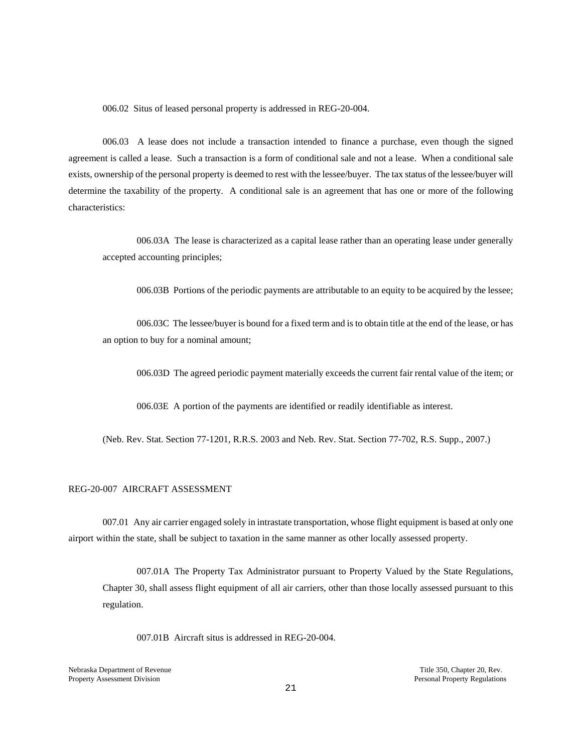006.02 Situs of leased personal property is addressed in REG-20-004.

006.03 A lease does not include a transaction intended to finance a purchase, even though the signed agreement is called a lease. Such a transaction is a form of conditional sale and not a lease. When a conditional sale exists, ownership of the personal property is deemed to rest with the lessee/buyer. The tax status of the lessee/buyer will determine the taxability of the property. A conditional sale is an agreement that has one or more of the following characteristics:

006.03A The lease is characterized as a capital lease rather than an operating lease under generally accepted accounting principles;

006.03B Portions of the periodic payments are attributable to an equity to be acquired by the lessee;

006.03C The lessee/buyer is bound for a fixed term and is to obtain title at the end of the lease, or has an option to buy for a nominal amount;

006.03D The agreed periodic payment materially exceeds the current fair rental value of the item; or

006.03E A portion of the payments are identified or readily identifiable as interest.

(Neb. Rev. Stat. Section 77-1201, R.R.S. 2003 and Neb. Rev. Stat. Section 77-702, R.S. Supp., 2007.)

### REG-20-007 AIRCRAFT ASSESSMENT

007.01 Any air carrier engaged solely in intrastate transportation, whose flight equipment is based at only one airport within the state, shall be subject to taxation in the same manner as other locally assessed property.

007.01A The Property Tax Administrator pursuant to Property Valued by the State Regulations, Chapter 30, shall assess flight equipment of all air carriers, other than those locally assessed pursuant to this regulation.

007.01B Aircraft situs is addressed in REG-20-004.